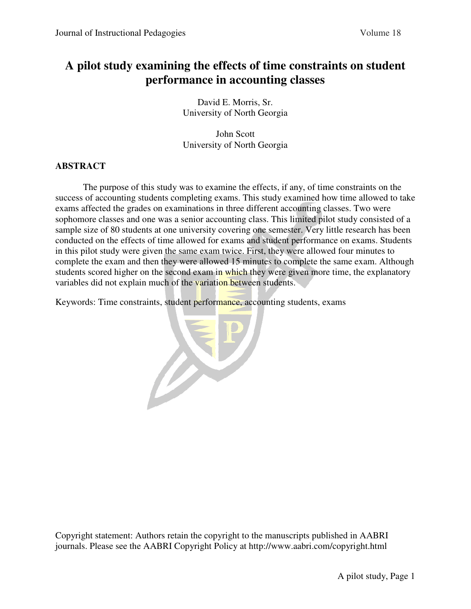# **A pilot study examining the effects of time constraints on student performance in accounting classes**

David E. Morris, Sr. University of North Georgia

John Scott University of North Georgia

## **ABSTRACT**

The purpose of this study was to examine the effects, if any, of time constraints on the success of accounting students completing exams. This study examined how time allowed to take exams affected the grades on examinations in three different accounting classes. Two were sophomore classes and one was a senior accounting class. This limited pilot study consisted of a sample size of 80 students at one university covering one semester. Very little research has been conducted on the effects of time allowed for exams and student performance on exams. Students in this pilot study were given the same exam twice. First, they were allowed four minutes to complete the exam and then they were allowed 15 minutes to complete the same exam. Although students scored higher on the second exam in which they were given more time, the explanatory variables did not explain much of the variation between students.

Keywords: Time constraints, student performance, accounting students, exams

Copyright statement: Authors retain the copyright to the manuscripts published in AABRI journals. Please see the AABRI Copyright Policy at http://www.aabri.com/copyright.html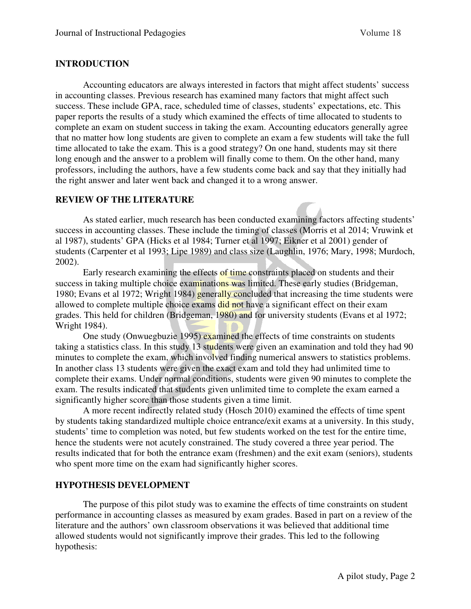## **INTRODUCTION**

Accounting educators are always interested in factors that might affect students' success in accounting classes. Previous research has examined many factors that might affect such success. These include GPA, race, scheduled time of classes, students' expectations, etc. This paper reports the results of a study which examined the effects of time allocated to students to complete an exam on student success in taking the exam. Accounting educators generally agree that no matter how long students are given to complete an exam a few students will take the full time allocated to take the exam. This is a good strategy? On one hand, students may sit there long enough and the answer to a problem will finally come to them. On the other hand, many professors, including the authors, have a few students come back and say that they initially had the right answer and later went back and changed it to a wrong answer.

#### **REVIEW OF THE LITERATURE**

As stated earlier, much research has been conducted examining factors affecting students' success in accounting classes. These include the timing of classes (Morris et al 2014; Vruwink et al 1987), students' GPA (Hicks et al 1984; Turner et al 1997; Eikner et al 2001) gender of students (Carpenter et al 1993; Lipe 1989) and class size (Laughlin, 1976; Mary, 1998; Murdoch, 2002).

Early research examining the effects of time constraints placed on students and their success in taking multiple choice examinations was limited. These early studies (Bridgeman, 1980; Evans et al 1972; Wright 1984) generally concluded that increasing the time students were allowed to complete multiple choice exams did not have a significant effect on their exam grades. This held for children (Bridgeman, 1980) and for university students (Evans et al 1972; Wright 1984).

One study (Onwuegbuzie 1995) examined the effects of time constraints on students taking a statistics class. In this study 13 students were given an examination and told they had 90 minutes to complete the exam, which involved finding numerical answers to statistics problems. In another class 13 students were given the exact exam and told they had unlimited time to complete their exams. Under normal conditions, students were given 90 minutes to complete the exam. The results indicated that students given unlimited time to complete the exam earned a significantly higher score than those students given a time limit.

A more recent indirectly related study (Hosch 2010) examined the effects of time spent by students taking standardized multiple choice entrance/exit exams at a university. In this study, students' time to completion was noted, but few students worked on the test for the entire time, hence the students were not acutely constrained. The study covered a three year period. The results indicated that for both the entrance exam (freshmen) and the exit exam (seniors), students who spent more time on the exam had significantly higher scores.

#### **HYPOTHESIS DEVELOPMENT**

The purpose of this pilot study was to examine the effects of time constraints on student performance in accounting classes as measured by exam grades. Based in part on a review of the literature and the authors' own classroom observations it was believed that additional time allowed students would not significantly improve their grades. This led to the following hypothesis: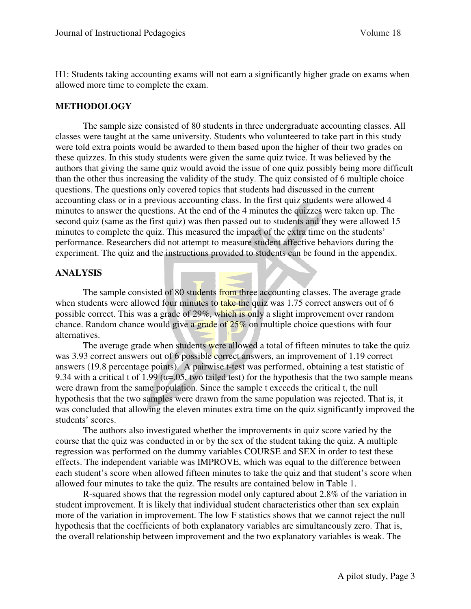H1: Students taking accounting exams will not earn a significantly higher grade on exams when allowed more time to complete the exam.

#### **METHODOLOGY**

The sample size consisted of 80 students in three undergraduate accounting classes. All classes were taught at the same university. Students who volunteered to take part in this study were told extra points would be awarded to them based upon the higher of their two grades on these quizzes. In this study students were given the same quiz twice. It was believed by the authors that giving the same quiz would avoid the issue of one quiz possibly being more difficult than the other thus increasing the validity of the study. The quiz consisted of 6 multiple choice questions. The questions only covered topics that students had discussed in the current accounting class or in a previous accounting class. In the first quiz students were allowed 4 minutes to answer the questions. At the end of the 4 minutes the quizzes were taken up. The second quiz (same as the first quiz) was then passed out to students and they were allowed 15 minutes to complete the quiz. This measured the impact of the extra time on the students' performance. Researchers did not attempt to measure student affective behaviors during the experiment. The quiz and the instructions provided to students can be found in the appendix.

#### **ANALYSIS**

The sample consisted of 80 students from three accounting classes. The average grade when students were allowed four minutes to take the quiz was 1.75 correct answers out of 6 possible correct. This was a grade of 29%, which is only a slight improvement over random chance. Random chance would give a grade of 25% on multiple choice questions with four alternatives.

The average grade when students were allowed a total of fifteen minutes to take the quiz was 3.93 correct answers out of 6 possible correct answers, an improvement of 1.19 correct answers (19.8 percentage points). A pairwise t-test was performed, obtaining a test statistic of 9.34 with a critical t of 1.99 ( $\alpha$ =.05, two tailed test) for the hypothesis that the two sample means were drawn from the same population. Since the sample t exceeds the critical t, the null hypothesis that the two samples were drawn from the same population was rejected. That is, it was concluded that allowing the eleven minutes extra time on the quiz significantly improved the students' scores.

The authors also investigated whether the improvements in quiz score varied by the course that the quiz was conducted in or by the sex of the student taking the quiz. A multiple regression was performed on the dummy variables COURSE and SEX in order to test these effects. The independent variable was IMPROVE, which was equal to the difference between each student's score when allowed fifteen minutes to take the quiz and that student's score when allowed four minutes to take the quiz. The results are contained below in Table 1.

R-squared shows that the regression model only captured about 2.8% of the variation in student improvement. It is likely that individual student characteristics other than sex explain more of the variation in improvement. The low F statistics shows that we cannot reject the null hypothesis that the coefficients of both explanatory variables are simultaneously zero. That is, the overall relationship between improvement and the two explanatory variables is weak. The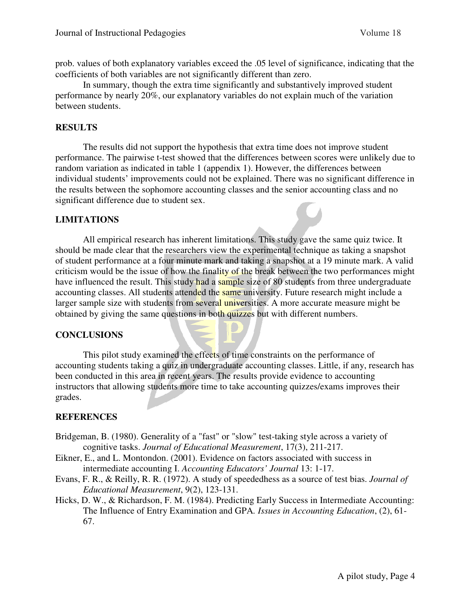prob. values of both explanatory variables exceed the .05 level of significance, indicating that the coefficients of both variables are not significantly different than zero.

In summary, though the extra time significantly and substantively improved student performance by nearly 20%, our explanatory variables do not explain much of the variation between students.

#### **RESULTS**

The results did not support the hypothesis that extra time does not improve student performance. The pairwise t-test showed that the differences between scores were unlikely due to random variation as indicated in table 1 (appendix 1). However, the differences between individual students' improvements could not be explained. There was no significant difference in the results between the sophomore accounting classes and the senior accounting class and no significant difference due to student sex.

#### **LIMITATIONS**

All empirical research has inherent limitations. This study gave the same quiz twice. It should be made clear that the researchers view the experimental technique as taking a snapshot of student performance at a four minute mark and taking a snapshot at a 19 minute mark. A valid criticism would be the issue of how the finality of the break between the two performances might have influenced the result. This study had a sample size of 80 students from three undergraduate accounting classes. All students attended the same university. Future research might include a larger sample size with students from several universities. A more accurate measure might be obtained by giving the same questions in both quizzes but with different numbers.

#### **CONCLUSIONS**

This pilot study examined the effects of time constraints on the performance of accounting students taking a quiz in undergraduate accounting classes. Little, if any, research has been conducted in this area in recent years. The results provide evidence to accounting instructors that allowing students more time to take accounting quizzes/exams improves their grades.

#### **REFERENCES**

- Bridgeman, B. (1980). Generality of a "fast" or "slow" test-taking style across a variety of cognitive tasks. *Journal of Educational Measurement*, 17(3), 211-217.
- Eikner, E., and L. Montondon. (2001). Evidence on factors associated with success in intermediate accounting I. *Accounting Educators' Journal* 13: 1-17.
- Evans, F. R., & Reilly, R. R. (1972). A study of speededhess as a source of test bias. *Journal of Educational Measurement*, 9(2), 123-131.
- Hicks, D. W., & Richardson, F. M. (1984). Predicting Early Success in Intermediate Accounting: The Influence of Entry Examination and GPA*. Issues in Accounting Education*, (2), 61- 67.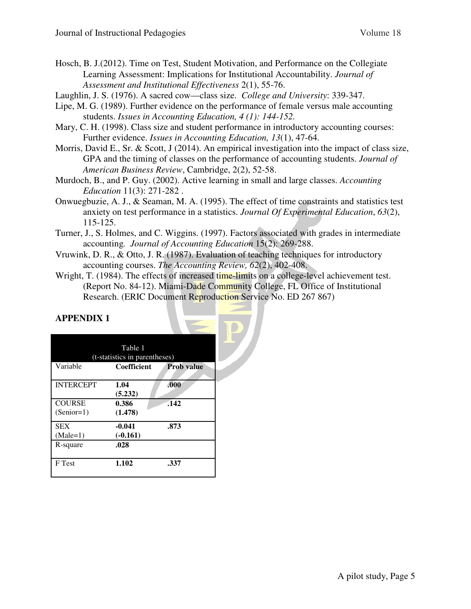- Hosch, B. J.(2012). Time on Test, Student Motivation, and Performance on the Collegiate Learning Assessment: Implications for Institutional Accountability. *Journal of Assessment and Institutional Effectiveness* 2(1), 55-76.
- Laughlin, J. S. (1976). A sacred cow—class size. *College and University*: 339-347.
- Lipe, M. G. (1989). Further evidence on the performance of female versus male accounting students. *Issues in Accounting Education, 4 (1): 144-152.*
- Mary, C. H. (1998). Class size and student performance in introductory accounting courses: Further evidence. *Issues in Accounting Education, 13*(1), 47-64.
- Morris, David E., Sr. & Scott, J (2014). An empirical investigation into the impact of class size, GPA and the timing of classes on the performance of accounting students. *Journal of American Business Review*, Cambridge, 2(2), 52-58.
- Murdoch, B., and P. Guy. (2002). Active learning in small and large classes. *Accounting Education* 11(3): 271-282 .
- Onwuegbuzie, A. J., & Seaman, M. A. (1995). The effect of time constraints and statistics test anxiety on test performance in a statistics. *Journal Of Experimental Education*, *63*(2), 115-125.
- Turner, J., S. Holmes, and C. Wiggins. (1997). Factors associated with grades in intermediate accounting*. Journal of Accounting Education* 15(2): 269-288.
- Vruwink, D. R., & Otto, J. R. (1987). Evaluation of teaching techniques for introductory accounting courses. *The Accounting Review, 62*(2), 402-408.
- Wright, T. (1984). The effects of increased time-limits on a college-level achievement test. (Report No. 84-12). Miami-Dade Community College, FL Office of Institutional Research. (ERIC Document Reproduction Service No. ED 267 867)

# **APPENDIX 1**

| Table 1                       |                                                     |                   |  |
|-------------------------------|-----------------------------------------------------|-------------------|--|
| Variable                      | (t-statistics in parentheses)<br><b>Coefficient</b> | <b>Prob value</b> |  |
| <b>INTERCEPT</b>              | 1.04<br>(5.232)                                     | .000              |  |
| <b>COURSE</b><br>$(Senior=1)$ | 0.386<br>(1.478)                                    | .142              |  |
| <b>SEX</b><br>$(Male=1)$      | $-0.041$<br>$(-0.161)$                              | .873              |  |
| R-square                      | .028                                                |                   |  |
| F Test                        | 1.102                                               | .337              |  |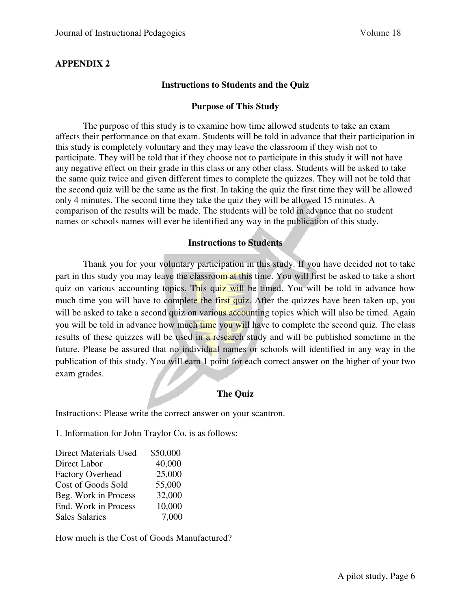### **APPENDIX 2**

#### **Instructions to Students and the Quiz**

#### **Purpose of This Study**

The purpose of this study is to examine how time allowed students to take an exam affects their performance on that exam. Students will be told in advance that their participation in this study is completely voluntary and they may leave the classroom if they wish not to participate. They will be told that if they choose not to participate in this study it will not have any negative effect on their grade in this class or any other class. Students will be asked to take the same quiz twice and given different times to complete the quizzes. They will not be told that the second quiz will be the same as the first. In taking the quiz the first time they will be allowed only 4 minutes. The second time they take the quiz they will be allowed 15 minutes. A comparison of the results will be made. The students will be told in advance that no student names or schools names will ever be identified any way in the publication of this study.

#### **Instructions to Students**

Thank you for your voluntary participation in this study. If you have decided not to take part in this study you may leave the classroom at this time. You will first be asked to take a short quiz on various accounting topics. This quiz will be timed. You will be told in advance how much time you will have to complete the first quiz. After the quizzes have been taken up, you will be asked to take a second quiz on various accounting topics which will also be timed. Again you will be told in advance how much time you will have to complete the second quiz. The class results of these quizzes will be used in a research study and will be published sometime in the future. Please be assured that no individual names or schools will identified in any way in the publication of this study. You will earn 1 point for each correct answer on the higher of your two exam grades.

#### **The Quiz**

Instructions: Please write the correct answer on your scantron.

1. Information for John Traylor Co. is as follows:

| <b>Direct Materials Used</b> | \$50,000 |
|------------------------------|----------|
| Direct Labor                 | 40,000   |
| <b>Factory Overhead</b>      | 25,000   |
| Cost of Goods Sold           | 55,000   |
| Beg. Work in Process         | 32,000   |
| End. Work in Process         | 10,000   |
| <b>Sales Salaries</b>        | 7,000    |

How much is the Cost of Goods Manufactured?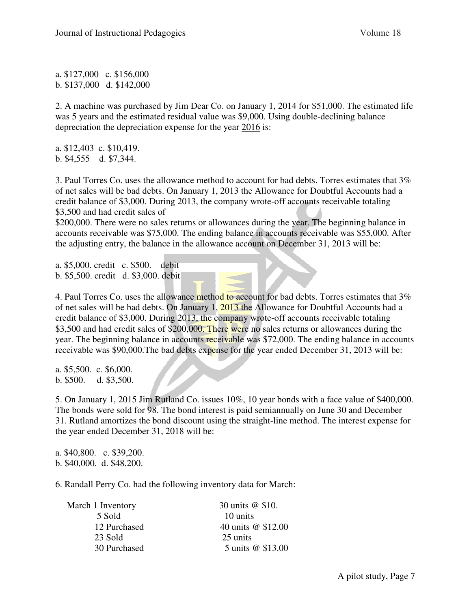a. \$127,000 c. \$156,000 b. \$137,000 d. \$142,000

2. A machine was purchased by Jim Dear Co. on January 1, 2014 for \$51,000. The estimated life was 5 years and the estimated residual value was \$9,000. Using double-declining balance depreciation the depreciation expense for the year 2016 is:

a. \$12,403 c. \$10,419. b. \$4,555 d. \$7,344.

3. Paul Torres Co. uses the allowance method to account for bad debts. Torres estimates that 3% of net sales will be bad debts. On January 1, 2013 the Allowance for Doubtful Accounts had a credit balance of \$3,000. During 2013, the company wrote-off accounts receivable totaling \$3,500 and had credit sales of

\$200,000. There were no sales returns or allowances during the year. The beginning balance in accounts receivable was \$75,000. The ending balance in accounts receivable was \$55,000. After the adjusting entry, the balance in the allowance account on December 31, 2013 will be:

a. \$5,000. credit c. \$500. debit b. \$5,500. credit d. \$3,000. debit

4. Paul Torres Co. uses the allowance method to account for bad debts. Torres estimates that 3% of net sales will be bad debts. On January 1, 2013 the Allowance for Doubtful Accounts had a credit balance of \$3,000. During 2013, the company wrote-off accounts receivable totaling \$3,500 and had credit sales of \$200,000. There were no sales returns or allowances during the year. The beginning balance in accounts receivable was \$72,000. The ending balance in accounts receivable was \$90,000.The bad debts expense for the year ended December 31, 2013 will be:

a. \$5,500. c. \$6,000. b. \$500. d. \$3,500.

5. On January 1, 2015 Jim Rutland Co. issues 10%, 10 year bonds with a face value of \$400,000. The bonds were sold for 98. The bond interest is paid semiannually on June 30 and December 31. Rutland amortizes the bond discount using the straight-line method. The interest expense for the year ended December 31, 2018 will be:

a. \$40,800. c. \$39,200. b. \$40,000. d. \$48,200.

6. Randall Perry Co. had the following inventory data for March:

| March 1 Inventory | 30 units @ \$10.   |
|-------------------|--------------------|
| 5 Sold            | 10 units           |
| 12 Purchased      | 40 units @ \$12.00 |
| 23 Sold           | 25 units           |
| 30 Purchased      | 5 units @ \$13.00  |